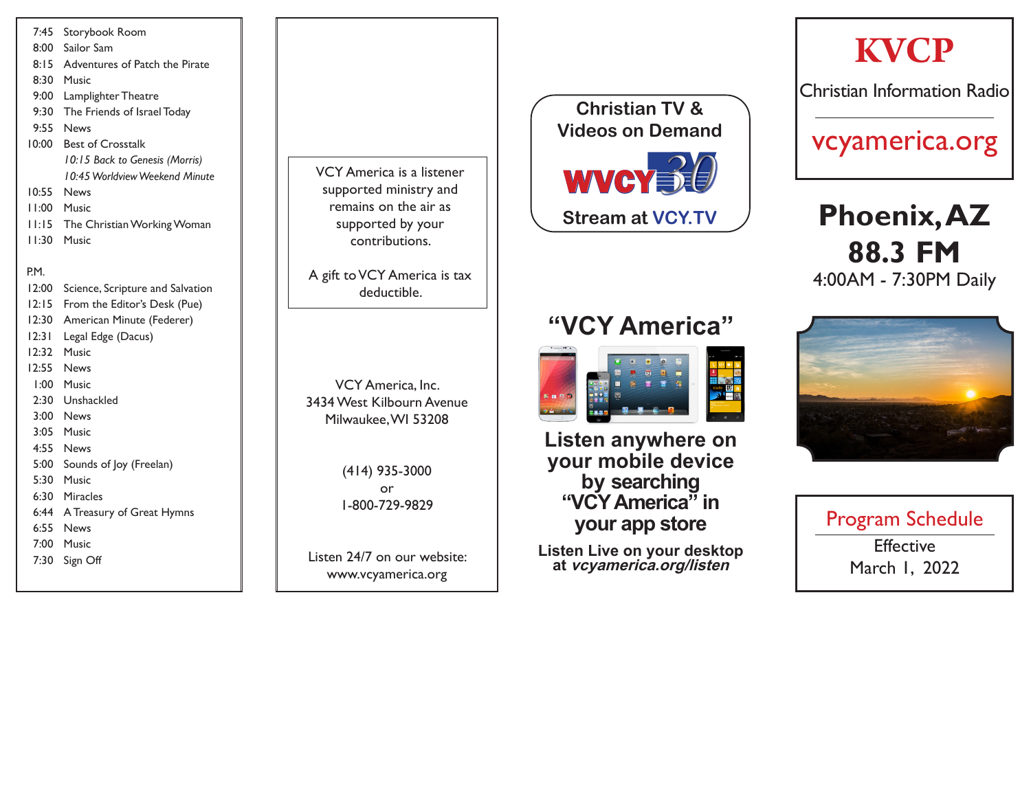## 7:45 Storybook Room 8:00 Sailor Sam 8:15 Adventures of Patch the Pirate 8:30 Music 9:00 Lamplighter Theatre 9:30 The Friends of Israel Today 9:55 News 10:00 Best of Crosstalk *10:15 Back to Genesis (Morris) 10:45 Worldview Weekend Minute* 10:55 News 11:00 Music 11:15 The Christian Working Woman 11:30 Music P.M. 12:00 Science, Scripture and Salvation 12:15 From the Editor's Desk (Pue) 12:30 American Minute (Federer) 12:31 Legal Edge (Dacus) 12:32 Music 12:55 News 1:00 Music

- 2:30 Unshackled
- 3:00 News
- 3:05 Music
- 4:55 News
- 5:00 Sounds of Joy (Freelan)
- 5:30 Music
- 6:30 Miracles
- 6:44 A Treasury of Great Hymns
- 6:55 News
- 7:00 Music
- 7:30 Sign Off

VCY America is a listener supported ministry and remains on the air as supported by your contributions.

A gift to VCY America is tax deductible.

VCY America, Inc. 3434 West Kilbourn Avenue Milwaukee, WI 53208

> (414) 935-3000 or 1-800-729-9829

Listen 24/7 on our website: www.vcyamerica.org



# **"VCY America"**



**Listen anywhere on your mobile device by searching "VCY America" in your app store**

**Listen Live on your desktop at vcyamerica.org/listen**



**KVCP**

Christian Information Radio

vcyamerica.org

**Phoenix, AZ**

**88.3 FM**

4:00AM - 7:30PM Daily

Program Schedule **Effective** March 1, 2022